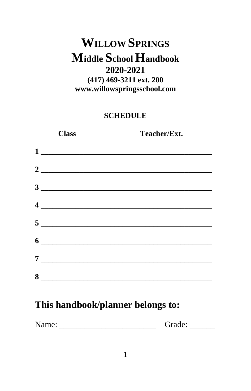#### **WILLOW SPRINGS Middle School Handbook** 2020-2021  $(417)$  469-3211 ext. 200 www.willowspringsschool.com

#### **SCHEDULE**

|   | <b>Class</b> | Teacher/Ext.                                                                                                                                                                                                                                                                                                                                                                                                                                                    |
|---|--------------|-----------------------------------------------------------------------------------------------------------------------------------------------------------------------------------------------------------------------------------------------------------------------------------------------------------------------------------------------------------------------------------------------------------------------------------------------------------------|
|   |              | $\begin{array}{c c c c c} \hline \multicolumn{3}{c }{\textbf{1}} & \multicolumn{3}{c }{\textbf{1}} \\ \hline \multicolumn{3}{c }{\textbf{1}} & \multicolumn{3}{c }{\textbf{1}} \\ \hline \multicolumn{3}{c }{\textbf{1}} & \multicolumn{3}{c }{\textbf{1}} \\ \hline \multicolumn{3}{c }{\textbf{1}} & \multicolumn{3}{c }{\textbf{1}} \\ \hline \multicolumn{3}{c }{\textbf{1}} & \multicolumn{3}{c }{\textbf{1}} \\ \hline \multicolumn{3}{c }{\textbf{1}} &$ |
|   |              |                                                                                                                                                                                                                                                                                                                                                                                                                                                                 |
|   |              |                                                                                                                                                                                                                                                                                                                                                                                                                                                                 |
|   |              | $\frac{4}{\sqrt{2}}$                                                                                                                                                                                                                                                                                                                                                                                                                                            |
|   |              | $5$ $\overline{\phantom{a}}$                                                                                                                                                                                                                                                                                                                                                                                                                                    |
|   |              | $\frac{1}{2}$                                                                                                                                                                                                                                                                                                                                                                                                                                                   |
| 7 |              |                                                                                                                                                                                                                                                                                                                                                                                                                                                                 |
| 8 |              |                                                                                                                                                                                                                                                                                                                                                                                                                                                                 |

#### This handbook/planner belongs to:

| Name:<br>√rade. |  |
|-----------------|--|
|-----------------|--|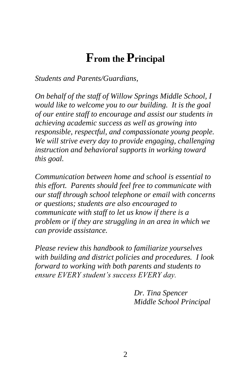### **From the Principal**

*Students and Parents/Guardians,*

*On behalf of the staff of Willow Springs Middle School, I would like to welcome you to our building. It is the goal of our entire staff to encourage and assist our students in achieving academic success as well as growing into responsible, respectful, and compassionate young people. We will strive every day to provide engaging, challenging instruction and behavioral supports in working toward this goal.*

*Communication between home and school is essential to this effort. Parents should feel free to communicate with our staff through school telephone or email with concerns or questions; students are also encouraged to communicate with staff to let us know if there is a problem or if they are struggling in an area in which we can provide assistance.* 

*Please review this handbook to familiarize yourselves with building and district policies and procedures. I look forward to working with both parents and students to ensure EVERY student's success EVERY day.*

> *Dr. Tina Spencer Middle School Principal*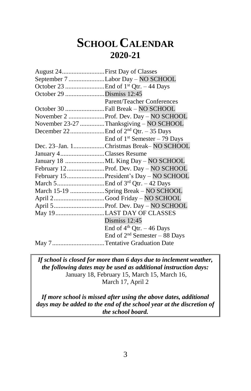### **SCHOOLCALENDAR 2020-21**

| August 24First Day of Classes           |
|-----------------------------------------|
| September 7 Labor Day - NO SCHOOL       |
|                                         |
| October 29 Dismiss 12:45                |
| Parent/Teacher Conferences              |
| October 30 Fall Break - NO SCHOOL       |
|                                         |
| November 23-27 Thanksgiving - NO SCHOOL |
|                                         |
| End of $1st$ Semester – 79 Days         |
| Dec. 23-Jan. 1Christmas Break-NO SCHOOL |
| January 4Classes Resume                 |
|                                         |
| February 12Prof. Dev. Day - NO SCHOOL   |
| February 15President's Day - NO SCHOOL  |
|                                         |
| March 15-19 Spring Break - NO SCHOOL    |
| April 2Good Friday - NO SCHOOL          |
|                                         |
| May 19LAST DAY OF CLASSES               |
| Dismiss $12:45$                         |
| End of $4th$ Qtr. - 46 Days             |
| End of $2nd$ Semester – 88 Days         |
| May 7Tentative Graduation Date          |
|                                         |

*If school is closed for more than 6 days due to inclement weather, the following dates may be used as additional instruction days:* January 18, February 15, March 15, March 16, March 17, April 2

*If more school is missed after using the above dates, additional days may be added to the end of the school year at the discretion of the school board.*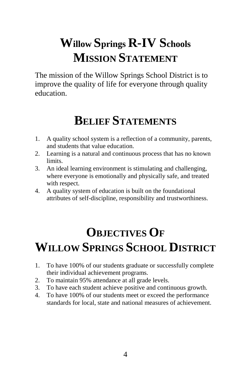# **Willow Springs R-IV Schools MISSION STATEMENT**

The mission of the Willow Springs School District is to improve the quality of life for everyone through quality education.

## **BELIEF STATEMENTS**

- 1. A quality school system is a reflection of a community, parents, and students that value education.
- 2. Learning is a natural and continuous process that has no known limits.
- 3. An ideal learning environment is stimulating and challenging, where everyone is emotionally and physically safe, and treated with respect.
- 4. A quality system of education is built on the foundational attributes of self-discipline, responsibility and trustworthiness.

## **OBJECTIVES OF WILLOW SPRINGS SCHOOL DISTRICT**

- 1. To have 100% of our students graduate or successfully complete their individual achievement programs.
- 2. To maintain 95% attendance at all grade levels.
- 3. To have each student achieve positive and continuous growth.
- 4. To have 100% of our students meet or exceed the performance standards for local, state and national measures of achievement.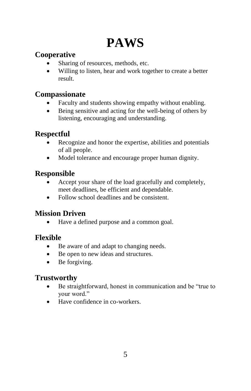# **PAWS**

#### **Cooperative**

- Sharing of resources, methods, etc.
- Willing to listen, hear and work together to create a better result.

#### **Compassionate**

- Faculty and students showing empathy without enabling.
- Being sensitive and acting for the well-being of others by listening, encouraging and understanding.

#### **Respectful**

- Recognize and honor the expertise, abilities and potentials of all people.
- Model tolerance and encourage proper human dignity.

#### **Responsible**

- Accept your share of the load gracefully and completely, meet deadlines, be efficient and dependable.
- Follow school deadlines and be consistent.

#### **Mission Driven**

Have a defined purpose and a common goal.

#### **Flexible**

- Be aware of and adapt to changing needs.
- Be open to new ideas and structures.
- Be forgiving.

#### **Trustworthy**

- Be straightforward, honest in communication and be "true to your word."
- Have confidence in co-workers.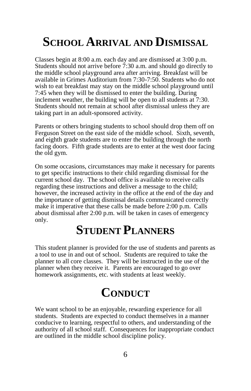## **SCHOOL ARRIVAL AND DISMISSAL**

Classes begin at 8:00 a.m. each day and are dismissed at 3:00 p.m. Students should not arrive before  $\dot{7}$ :30 a.m. and should go directly to the middle school playground area after arriving. Breakfast will be available in Grimes Auditorium from 7:30-7:50. Students who do not wish to eat breakfast may stay on the middle school playground until 7:45 when they will be dismissed to enter the building. During inclement weather, the building will be open to all students at 7:30. Students should not remain at school after dismissal unless they are taking part in an adult-sponsored activity.

Parents or others bringing students to school should drop them off on Ferguson Street on the east side of the middle school. Sixth, seventh, and eighth grade students are to enter the building through the north facing doors. Fifth grade students are to enter at the west door facing the old gym.

On some occasions, circumstances may make it necessary for parents to get specific instructions to their child regarding dismissal for the current school day. The school office is available to receive calls regarding these instructions and deliver a message to the child; however, the increased activity in the office at the end of the day and the importance of getting dismissal details communicated correctly make it imperative that these calls be made before 2:00 p.m. Calls about dismissal after 2:00 p.m. will be taken in cases of emergency only.

#### **STUDENT PLANNERS**

This student planner is provided for the use of students and parents as a tool to use in and out of school. Students are required to take the planner to all core classes. They will be instructed in the use of the planner when they receive it. Parents are encouraged to go over homework assignments, etc. with students at least weekly.

### **CONDUCT**

We want school to be an enjoyable, rewarding experience for all students. Students are expected to conduct themselves in a manner conducive to learning, respectful to others, and understanding of the authority of all school staff. Consequences for inappropriate conduct are outlined in the middle school discipline policy.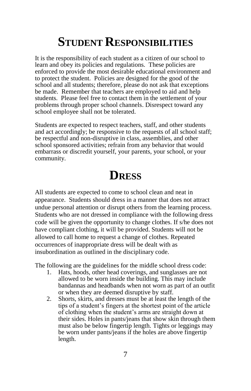## **STUDENT RESPONSIBILITIES**

It is the responsibility of each student as a citizen of our school to learn and obey its policies and regulations. These policies are enforced to provide the most desirable educational environment and to protect the student. Policies are designed for the good of the school and all students; therefore, please do not ask that exceptions be made. Remember that teachers are employed to aid and help students. Please feel free to contact them in the settlement of your problems through proper school channels. Disrespect toward any school employee shall not be tolerated.

Students are expected to respect teachers, staff, and other students and act accordingly; be responsive to the requests of all school staff; be respectful and non-disruptive in class, assemblies, and other school sponsored activities; refrain from any behavior that would embarrass or discredit yourself, your parents, your school, or your community.

#### **DRESS**

All students are expected to come to school clean and neat in appearance. Students should dress in a manner that does not attract undue personal attention or disrupt others from the learning process. Students who are not dressed in compliance with the following dress code will be given the opportunity to change clothes. If s/he does not have compliant clothing, it will be provided. Students will not be allowed to call home to request a change of clothes. Repeated occurrences of inappropriate dress will be dealt with as insubordination as outlined in the disciplinary code.

The following are the guidelines for the middle school dress code:

- 1. Hats, hoods, other head coverings, and sunglasses are not allowed to be worn inside the building. This may include bandannas and headbands when not worn as part of an outfit or when they are deemed disruptive by staff.
- 2. Shorts, skirts, and dresses must be at least the length of the tips of a student's fingers at the shortest point of the article of clothing when the student's arms are straight down at their sides. Holes in pants/jeans that show skin through them must also be below fingertip length. Tights or leggings may be worn under pants/jeans if the holes are above fingertip length.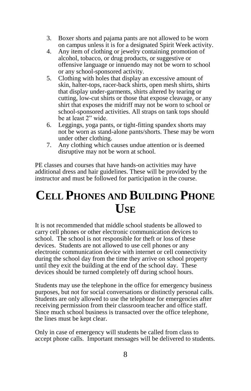- 3. Boxer shorts and pajama pants are not allowed to be worn on campus unless it is for a designated Spirit Week activity.
- 4. Any item of clothing or jewelry containing promotion of alcohol, tobacco, or drug products, or suggestive or offensive language or innuendo may not be worn to school or any school-sponsored activity.
- 5. Clothing with holes that display an excessive amount of skin, halter-tops, racer-back shirts, open mesh shirts, shirts that display under-garments, shirts altered by tearing or cutting, low-cut shirts or those that expose cleavage, or any shirt that exposes the midriff may not be worn to school or school-sponsored activities. All straps on tank tops should be at least 2" wide.
- 6. Leggings, yoga pants, or tight-fitting spandex shorts may not be worn as stand-alone pants/shorts. These may be worn under other clothing.
- 7. Any clothing which causes undue attention or is deemed disruptive may not be worn at school.

PE classes and courses that have hands-on activities may have additional dress and hair guidelines. These will be provided by the instructor and must be followed for participation in the course.

### **CELL PHONES AND BUILDING PHONE USE**

It is not recommended that middle school students be allowed to carry cell phones or other electronic communication devices to school. The school is not responsible for theft or loss of these devices. Students are not allowed to use cell phones or any electronic communication device with internet or cell connectivity during the school day from the time they arrive on school property until they exit the building at the end of the school day. These devices should be turned completely off during school hours.

Students may use the telephone in the office for emergency business purposes, but not for social conversations or distinctly personal calls. Students are only allowed to use the telephone for emergencies after receiving permission from their classroom teacher and office staff. Since much school business is transacted over the office telephone, the lines must be kept clear.

Only in case of emergency will students be called from class to accept phone calls. Important messages will be delivered to students.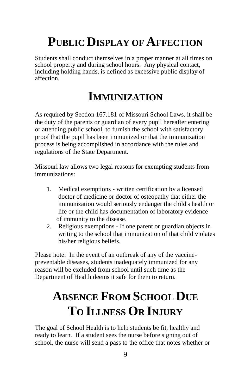## **PUBLIC DISPLAY OF AFFECTION**

Students shall conduct themselves in a proper manner at all times on school property and during school hours. Any physical contact, including holding hands, is defined as excessive public display of affection.

### **IMMUNIZATION**

As required by Section 167.181 of Missouri School Laws, it shall be the duty of the parents or guardian of every pupil hereafter entering or attending public school, to furnish the school with satisfactory proof that the pupil has been immunized or that the immunization process is being accomplished in accordance with the rules and regulations of the State Department.

Missouri law allows two legal reasons for exempting students from immunizations:

- 1. Medical exemptions written certification by a licensed doctor of medicine or doctor of osteopathy that either the immunization would seriously endanger the child's health or life or the child has documentation of laboratory evidence of immunity to the disease.
- 2. Religious exemptions If one parent or guardian objects in writing to the school that immunization of that child violates his/her religious beliefs.

Please note: In the event of an outbreak of any of the vaccinepreventable diseases, students inadequately immunized for any reason will be excluded from school until such time as the Department of Health deems it safe for them to return.

## **ABSENCE FROM SCHOOL DUE TO ILLNESS OR INJURY**

The goal of School Health is to help students be fit, healthy and ready to learn. If a student sees the nurse before signing out of school, the nurse will send a pass to the office that notes whether or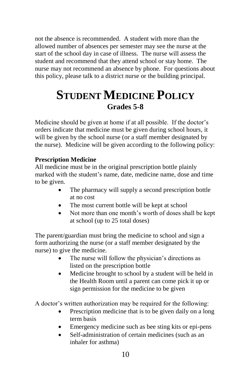not the absence is recommended. A student with more than the allowed number of absences per semester may see the nurse at the start of the school day in case of illness. The nurse will assess the student and recommend that they attend school or stay home. The nurse may not recommend an absence by phone. For questions about this policy, please talk to a district nurse or the building principal.

#### **STUDENT MEDICINE POLICY Grades 5-8**

Medicine should be given at home if at all possible. If the doctor's orders indicate that medicine must be given during school hours, it will be given by the school nurse (or a staff member designated by the nurse). Medicine will be given according to the following policy:

#### **Prescription Medicine**

All medicine must be in the original prescription bottle plainly marked with the student's name, date, medicine name, dose and time to be given.

- The pharmacy will supply a second prescription bottle at no cost
- The most current bottle will be kept at school
- Not more than one month's worth of doses shall be kept at school (up to 25 total doses)

The parent/guardian must bring the medicine to school and sign a form authorizing the nurse (or a staff member designated by the nurse) to give the medicine.

- The nurse will follow the physician's directions as listed on the prescription bottle
- Medicine brought to school by a student will be held in the Health Room until a parent can come pick it up or sign permission for the medicine to be given

A doctor's written authorization may be required for the following:

- Prescription medicine that is to be given daily on a long term basis
- Emergency medicine such as bee sting kits or epi-pens
- Self-administration of certain medicines (such as an inhaler for asthma)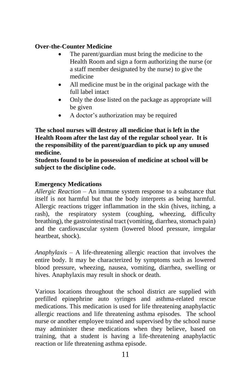#### **Over-the-Counter Medicine**

- The parent/guardian must bring the medicine to the Health Room and sign a form authorizing the nurse (or a staff member designated by the nurse) to give the medicine
- All medicine must be in the original package with the full label intact
- Only the dose listed on the package as appropriate will be given
- A doctor's authorization may be required

**The school nurses will destroy all medicine that is left in the Health Room after the last day of the regular school year. It is the responsibility of the parent/guardian to pick up any unused medicine.**

**Students found to be in possession of medicine at school will be subject to the discipline code.**

#### **Emergency Medications**

*Allergic Reaction* – An immune system response to a substance that itself is not harmful but that the body interprets as being harmful. Allergic reactions trigger inflammation in the skin (hives, itching, a rash), the respiratory system (coughing, wheezing, difficulty breathing), the gastrointestinal tract (vomiting, diarrhea, stomach pain) and the cardiovascular system (lowered blood pressure, irregular heartbeat, shock).

*Anaphylaxis* – A life-threatening allergic reaction that involves the entire body. It may be characterized by symptoms such as lowered blood pressure, wheezing, nausea, vomiting, diarrhea, swelling or hives. Anaphylaxis may result in shock or death.

Various locations throughout the school district are supplied with prefilled epinephrine auto syringes and asthma-related rescue medications. This medication is used for life threatening anaphylactic allergic reactions and life threatening asthma episodes. The school nurse or another employee trained and supervised by the school nurse may administer these medications when they believe, based on training, that a student is having a life-threatening anaphylactic reaction or life threatening asthma episode.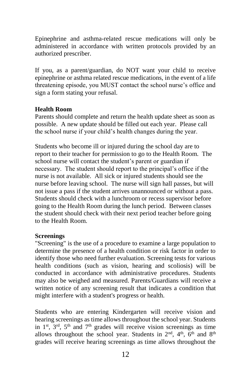Epinephrine and asthma-related rescue medications will only be administered in accordance with written protocols provided by an authorized prescriber.

If you, as a parent/guardian, do NOT want your child to receive epinephrine or asthma related rescue medications, in the event of a life threatening episode, you MUST contact the school nurse's office and sign a form stating your refusal.

#### **Health Room**

Parents should complete and return the health update sheet as soon as possible. A new update should be filled out each year. Please call the school nurse if your child's health changes during the year.

Students who become ill or injured during the school day are to report to their teacher for permission to go to the Health Room. The school nurse will contact the student's parent or guardian if necessary. The student should report to the principal's office if the nurse is not available. All sick or injured students should see the nurse before leaving school. The nurse will sign hall passes, but will not issue a pass if the student arrives unannounced or without a pass. Students should check with a lunchroom or recess supervisor before going to the Health Room during the lunch period. Between classes the student should check with their next period teacher before going to the Health Room.

#### **Screenings**

"Screening" is the use of a procedure to examine a large population to determine the presence of a health condition or risk factor in order to identify those who need further evaluation. Screening tests for various health conditions (such as vision, hearing and scoliosis) will be conducted in accordance with administrative procedures. Students may also be weighed and measured. Parents/Guardians will receive a written notice of any screening result that indicates a condition that might interfere with a student's progress or health.

Students who are entering Kindergarten will receive vision and hearing screenings as time allows throughout the school year. Students in  $1<sup>st</sup>$ ,  $3<sup>rd</sup>$ ,  $5<sup>th</sup>$  and  $7<sup>th</sup>$  grades will receive vision screenings as time allows throughout the school year. Students in  $2<sup>nd</sup>$ ,  $4<sup>th</sup>$ ,  $6<sup>th</sup>$  and  $8<sup>th</sup>$ grades will receive hearing screenings as time allows throughout the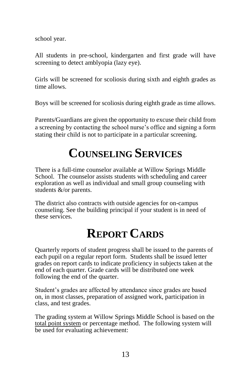school year.

All students in pre-school, kindergarten and first grade will have screening to detect amblyopia (lazy eye).

Girls will be screened for scoliosis during sixth and eighth grades as time allows.

Boys will be screened for scoliosis during eighth grade as time allows.

Parents/Guardians are given the opportunity to excuse their child from a screening by contacting the school nurse's office and signing a form stating their child is not to participate in a particular screening.

## **COUNSELING SERVICES**

There is a full-time counselor available at Willow Springs Middle School. The counselor assists students with scheduling and career exploration as well as individual and small group counseling with students &/or parents.

The district also contracts with outside agencies for on-campus counseling. See the building principal if your student is in need of these services.

## **REPORT CARDS**

Quarterly reports of student progress shall be issued to the parents of each pupil on a regular report form. Students shall be issued letter grades on report cards to indicate proficiency in subjects taken at the end of each quarter. Grade cards will be distributed one week following the end of the quarter.

Student's grades are affected by attendance since grades are based on, in most classes, preparation of assigned work, participation in class, and test grades.

The grading system at Willow Springs Middle School is based on the total point system or percentage method. The following system will be used for evaluating achievement: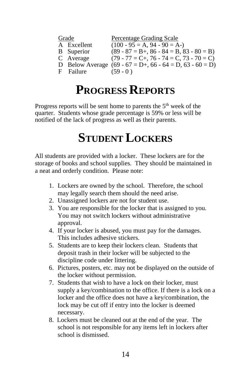|    | Grade             | <b>Percentage Grading Scale</b>                             |
|----|-------------------|-------------------------------------------------------------|
|    | A Excellent       | $(100 - 95 = A, 94 - 90 = A)$                               |
|    | <b>B</b> Superior | $(89 - 87 = B +, 86 - 84 = B, 83 - 80 = B)$                 |
|    | C Average         | $(79 - 77 = C_{+}, 76 - 74 = C, 73 - 70 = C)$               |
|    |                   | D Below Average $(69 - 67 = D_+, 66 - 64 = D, 63 - 60 = D)$ |
| Ħ. | Failure           | $(59 - 0)$                                                  |

## **PROGRESS REPORTS**

Progress reports will be sent home to parents the 5<sup>th</sup> week of the quarter. Students whose grade percentage is 59% or less will be notified of the lack of progress as well as their parents.

### **STUDENT LOCKERS**

All students are provided with a locker. These lockers are for the storage of books and school supplies. They should be maintained in a neat and orderly condition. Please note:

- 1. Lockers are owned by the school. Therefore, the school may legally search them should the need arise.
- 2. Unassigned lockers are not for student use.
- 3. You are responsible for the locker that is assigned to you. You may not switch lockers without administrative approval.
- 4. If your locker is abused, you must pay for the damages. This includes adhesive stickers.
- 5. Students are to keep their lockers clean. Students that deposit trash in their locker will be subjected to the discipline code under littering.
- 6. Pictures, posters, etc. may not be displayed on the outside of the locker without permission.
- 7. Students that wish to have a lock on their locker, must supply a key/combination to the office. If there is a lock on a locker and the office does not have a key/combination, the lock may be cut off if entry into the locker is deemed necessary.
- 8. Lockers must be cleaned out at the end of the year. The school is not responsible for any items left in lockers after school is dismissed.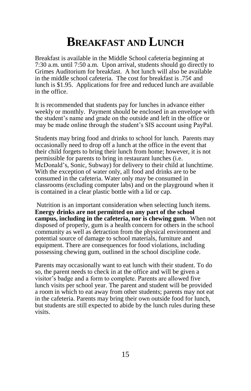#### **BREAKFAST AND LUNCH**

Breakfast is available in the Middle School cafeteria beginning at 7:30 a.m. until 7:50 a.m. Upon arrival, students should go directly to Grimes Auditorium for breakfast. A hot lunch will also be available in the middle school cafeteria. The cost for breakfast is  $.75¢$  and lunch is \$1.95. Applications for free and reduced lunch are available in the office.

It is recommended that students pay for lunches in advance either weekly or monthly. Payment should be enclosed in an envelope with the student's name and grade on the outside and left in the office or may be made online through the student's SIS account using PayPal.

Students may bring food and drinks to school for lunch. Parents may occasionally need to drop off a lunch at the office in the event that their child forgets to bring their lunch from home; however, it is not permissible for parents to bring in restaurant lunches (i.e. McDonald's, Sonic, Subway) for delivery to their child at lunchtime. With the exception of water only, all food and drinks are to be consumed in the cafeteria. Water only may be consumed in classrooms (excluding computer labs) and on the playground when it is contained in a clear plastic bottle with a lid or cap.

Nutrition is an important consideration when selecting lunch items. **Energy drinks are not permitted on any part of the school campus, including in the cafeteria, nor is chewing gum**. When not disposed of properly, gum is a health concern for others in the school community as well as detraction from the physical environment and potential source of damage to school materials, furniture and equipment. There are consequences for food violations, including possessing chewing gum, outlined in the school discipline code.

Parents may occasionally want to eat lunch with their student. To do so, the parent needs to check in at the office and will be given a visitor's badge and a form to complete. Parents are allowed five lunch visits per school year. The parent and student will be provided a room in which to eat away from other students; parents may not eat in the cafeteria. Parents may bring their own outside food for lunch, but students are still expected to abide by the lunch rules during these visits.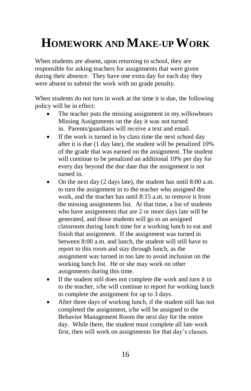# **HOMEWORK AND MAKE-UP WORK**

When students are absent, upon returning to school, they are responsible for asking teachers for assignments that were given during their absence. They have one extra day for each day they were absent to submit the work with no grade penalty.

When students do not turn in work at the time it is due, the following policy will be in effect:

- The teacher puts the missing assignment in my.willowbears Missing Assignments on the day it was not turned in. Parents/guardians will receive a text and email.
- If the work is turned in by class time the next school day after it is due (1 day late), the student will be penalized 10% of the grade that was earned on the assignment. The student will continue to be penalized an additional 10% per day for every day beyond the due date that the assignment is not turned in.
- On the next day (2 days late), the student has until 8:00 a.m. to turn the assignment in to the teacher who assigned the work, and the teacher has until 8:15 a.m. to remove it from the missing assignments list. At that time, a list of students who have assignments that are 2 or more days late will be generated, and those students will go to an assigned classroom during lunch time for a working lunch to eat and finish that assignment. If the assignment was turned in between 8:00 a.m. and lunch, the student will still have to report to this room and stay through lunch, as the assignment was turned in too late to avoid inclusion on the working lunch list. He or she may work on other assignments during this time.
- If the student still does not complete the work and turn it in to the teacher, s/he will continue to report for working lunch to complete the assignment for up to 3 days.
- After three days of working lunch, if the student still has not completed the assignment, s/he will be assigned to the Behavior Management Room the next day for the entire day. While there, the student must complete all late work first, then will work on assignments for that day's classes.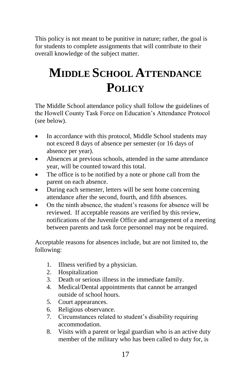This policy is not meant to be punitive in nature; rather, the goal is for students to complete assignments that will contribute to their overall knowledge of the subject matter.

## **MIDDLE SCHOOL ATTENDANCE POLICY**

The Middle School attendance policy shall follow the guidelines of the Howell County Task Force on Education's Attendance Protocol (see below).

- In accordance with this protocol, Middle School students may not exceed 8 days of absence per semester (or 16 days of absence per year).
- Absences at previous schools, attended in the same attendance year, will be counted toward this total.
- The office is to be notified by a note or phone call from the parent on each absence.
- During each semester, letters will be sent home concerning attendance after the second, fourth, and fifth absences.
- On the ninth absence, the student's reasons for absence will be reviewed. If acceptable reasons are verified by this review, notifications of the Juvenile Office and arrangement of a meeting between parents and task force personnel may not be required.

Acceptable reasons for absences include, but are not limited to, the following:

- 1. Illness verified by a physician.
- 2. Hospitalization
- 3. Death or serious illness in the immediate family.
- 4. Medical/Dental appointments that cannot be arranged outside of school hours.
- 5. Court appearances.
- 6. Religious observance.
- 7. Circumstances related to student's disability requiring accommodation.
- 8. Visits with a parent or legal guardian who is an active duty member of the military who has been called to duty for, is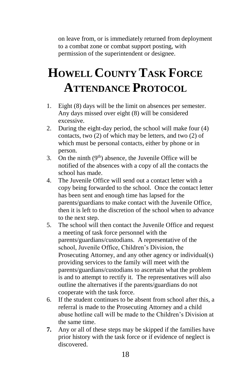on leave from, or is immediately returned from deployment to a combat zone or combat support posting, with permission of the superintendent or designee.

# **HOWELL COUNTY TASK FORCE ATTENDANCE PROTOCOL**

- 1. Eight (8) days will be the limit on absences per semester. Any days missed over eight (8) will be considered excessive.
- 2. During the eight-day period, the school will make four (4) contacts, two (2) of which may be letters, and two (2) of which must be personal contacts, either by phone or in person.
- 3. On the ninth  $(9<sup>th</sup>)$  absence, the Juvenile Office will be notified of the absences with a copy of all the contacts the school has made.
- 4. The Juvenile Office will send out a contact letter with a copy being forwarded to the school. Once the contact letter has been sent and enough time has lapsed for the parents/guardians to make contact with the Juvenile Office, then it is left to the discretion of the school when to advance to the next step.
- 5. The school will then contact the Juvenile Office and request a meeting of task force personnel with the parents/guardians/custodians. A representative of the school, Juvenile Office, Children's Division, the Prosecuting Attorney, and any other agency or individual(s) providing services to the family will meet with the parents/guardians/custodians to ascertain what the problem is and to attempt to rectify it. The representatives will also outline the alternatives if the parents/guardians do not cooperate with the task force.
- 6. If the student continues to be absent from school after this, a referral is made to the Prosecuting Attorney and a child abuse hotline call will be made to the Children's Division at the same time.
- **7.** Any or all of these steps may be skipped if the families have prior history with the task force or if evidence of neglect is discovered.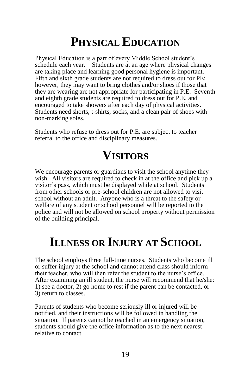### **PHYSICAL EDUCATION**

Physical Education is a part of every Middle School student's schedule each year. Students are at an age where physical changes are taking place and learning good personal hygiene is important. Fifth and sixth grade students are not required to dress out for PE; however, they may want to bring clothes and/or shoes if those that they are wearing are not appropriate for participating in P.E. Seventh and eighth grade students are required to dress out for P.E. and encouraged to take showers after each day of physical activities. Students need shorts, t-shirts, socks, and a clean pair of shoes with non-marking soles.

Students who refuse to dress out for P.E. are subject to teacher referral to the office and disciplinary measures.

### **VISITORS**

We encourage parents or guardians to visit the school anytime they wish. All visitors are required to check in at the office and pick up a visitor's pass, which must be displayed while at school. Students from other schools or pre-school children are not allowed to visit school without an adult. Anyone who is a threat to the safety or welfare of any student or school personnel will be reported to the police and will not be allowed on school property without permission of the building principal.

### **ILLNESS OR INJURY AT SCHOOL**

The school employs three full-time nurses. Students who become ill or suffer injury at the school and cannot attend class should inform their teacher, who will then refer the student to the nurse's office. After examining an ill student, the nurse will recommend that he/she: 1) see a doctor, 2) go home to rest if the parent can be contacted, or 3) return to classes.

Parents of students who become seriously ill or injured will be notified, and their instructions will be followed in handling the situation. If parents cannot be reached in an emergency situation, students should give the office information as to the next nearest relative to contact.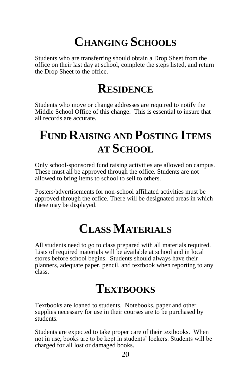## **CHANGING SCHOOLS**

Students who are transferring should obtain a Drop Sheet from the office on their last day at school, complete the steps listed, and return the Drop Sheet to the office.

## **RESIDENCE**

Students who move or change addresses are required to notify the Middle School Office of this change. This is essential to insure that all records are accurate.

## **FUND RAISING AND POSTING ITEMS AT SCHOOL**

Only school-sponsored fund raising activities are allowed on campus. These must all be approved through the office. Students are not allowed to bring items to school to sell to others.

Posters/advertisements for non-school affiliated activities must be approved through the office. There will be designated areas in which these may be displayed.

## **CLASS MATERIALS**

All students need to go to class prepared with all materials required. Lists of required materials will be available at school and in local stores before school begins. Students should always have their planners, adequate paper, pencil, and textbook when reporting to any class.

### **TEXTBOOKS**

Textbooks are loaned to students. Notebooks, paper and other supplies necessary for use in their courses are to be purchased by students.

Students are expected to take proper care of their textbooks. When not in use, books are to be kept in students' lockers. Students will be charged for all lost or damaged books.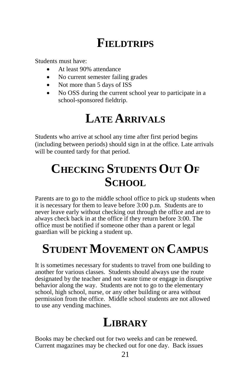## **FIELDTRIPS**

Students must have:

- At least 90% attendance
- No current semester failing grades
- Not more than 5 days of ISS
- No OSS during the current school year to participate in a school-sponsored fieldtrip.

### **LATE ARRIVALS**

Students who arrive at school any time after first period begins (including between periods) should sign in at the office. Late arrivals will be counted tardy for that period.

## **CHECKING STUDENTS OUT OF SCHOOL**

Parents are to go to the middle school office to pick up students when it is necessary for them to leave before 3:00 p.m. Students are to never leave early without checking out through the office and are to always check back in at the office if they return before 3:00. The office must be notified if someone other than a parent or legal guardian will be picking a student up.

## **STUDENT MOVEMENT ON CAMPUS**

It is sometimes necessary for students to travel from one building to another for various classes. Students should always use the route designated by the teacher and not waste time or engage in disruptive behavior along the way. Students are not to go to the elementary school, high school, nurse, or any other building or area without permission from the office. Middle school students are not allowed to use any vending machines.

## **LIBRARY**

Books may be checked out for two weeks and can be renewed. Current magazines may be checked out for one day. Back issues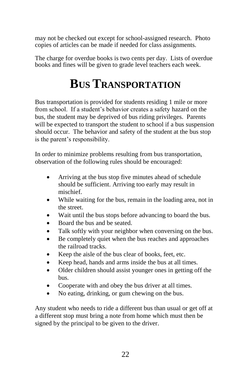may not be checked out except for school-assigned research. Photo copies of articles can be made if needed for class assignments.

The charge for overdue books is two cents per day. Lists of overdue books and fines will be given to grade level teachers each week.

## **BUS TRANSPORTATION**

Bus transportation is provided for students residing 1 mile or more from school. If a student's behavior creates a safety hazard on the bus, the student may be deprived of bus riding privileges. Parents will be expected to transport the student to school if a bus suspension should occur. The behavior and safety of the student at the bus stop is the parent's responsibility.

In order to minimize problems resulting from bus transportation, observation of the following rules should be encouraged:

- Arriving at the bus stop five minutes ahead of schedule should be sufficient. Arriving too early may result in mischief.
- While waiting for the bus, remain in the loading area, not in the street.
- Wait until the bus stops before advancing to board the bus.
- Board the bus and be seated.
- Talk softly with your neighbor when conversing on the bus.
- Be completely quiet when the bus reaches and approaches the railroad tracks.
- Keep the aisle of the bus clear of books, feet, etc.
- Keep head, hands and arms inside the bus at all times.
- Older children should assist younger ones in getting off the bus.
- Cooperate with and obey the bus driver at all times.
- No eating, drinking, or gum chewing on the bus.

Any student who needs to ride a different bus than usual or get off at a different stop must bring a note from home which must then be signed by the principal to be given to the driver.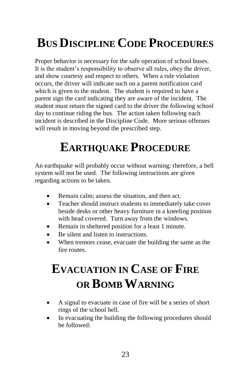# **BUS DISCIPLINE CODE PROCEDURES**

Proper behavior is necessary for the safe operation of school buses. It is the student's responsibility to observe all rules, obey the driver, and show courtesy and respect to others. When a rule violation occurs, the driver will indicate such on a parent notification card which is given to the student. The student is required to have a parent sign the card indicating they are aware of the incident. The student must return the signed card to the driver the following school day to continue riding the bus. The action taken following each incident is described in the Discipline Code. More serious offenses will result in moving beyond the prescribed step.

## **EARTHQUAKE PROCEDURE**

An earthquake will probably occur without warning; therefore, a bell system will not be used. The following instructions are given regarding actions to be taken.

- Remain calm; assess the situation, and then act.
- Teacher should instruct students to immediately take cover beside desks or other heavy furniture in a kneeling position with head covered. Turn away from the windows.
- Remain in sheltered position for a least 1 minute.
- Be silent and listen to instructions.
- When tremors cease, evacuate the building the same as the fire routes.

## **EVACUATION IN CASE OF FIRE OR BOMB WARNING**

- A signal to evacuate in case of fire will be a series of short rings of the school bell.
- In evacuating the building the following procedures should be followed: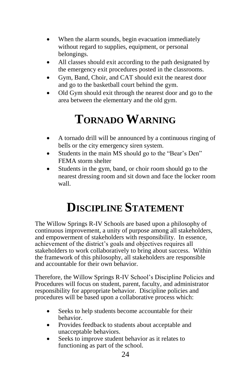- When the alarm sounds, begin evacuation immediately without regard to supplies, equipment, or personal belongings.
- All classes should exit according to the path designated by the emergency exit procedures posted in the classrooms.
- Gym, Band, Choir, and CAT should exit the nearest door and go to the basketball court behind the gym.
- Old Gym should exit through the nearest door and go to the area between the elementary and the old gym.

## **TORNADO WARNING**

- A tornado drill will be announced by a continuous ringing of bells or the city emergency siren system.
- Students in the main MS should go to the "Bear's Den" FEMA storm shelter
- Students in the gym, band, or choir room should go to the nearest dressing room and sit down and face the locker room wall.

## **DISCIPLINE STATEMENT**

The Willow Springs R-IV Schools are based upon a philosophy of continuous improvement, a unity of purpose among all stakeholders, and empowerment of stakeholders with responsibility. In essence, achievement of the district's goals and objectives requires all stakeholders to work collaboratively to bring about success. Within the framework of this philosophy, all stakeholders are responsible and accountable for their own behavior.

Therefore, the Willow Springs R-IV School's Discipline Policies and Procedures will focus on student, parent, faculty, and administrator responsibility for appropriate behavior. Discipline policies and procedures will be based upon a collaborative process which:

- Seeks to help students become accountable for their behavior.
- Provides feedback to students about acceptable and unacceptable behaviors.
- Seeks to improve student behavior as it relates to functioning as part of the school.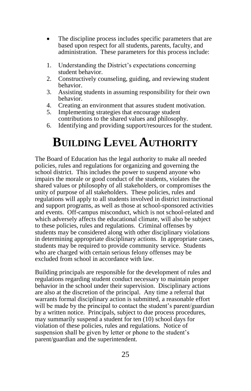- The discipline process includes specific parameters that are based upon respect for all students, parents, faculty, and administration. These parameters for this process include:
- 1. Understanding the District's expectations concerning student behavior.
- 2. Constructively counseling, guiding, and reviewing student behavior.
- 3. Assisting students in assuming responsibility for their own behavior.
- 4. Creating an environment that assures student motivation.<br>5. Implementing strategies that encourage student
- Implementing strategies that encourage student contributions to the shared values and philosophy.
- 6. Identifying and providing support/resources for the student.

### **BUILDING LEVEL AUTHORITY**

The Board of Education has the legal authority to make all needed policies, rules and regulations for organizing and governing the school district. This includes the power to suspend anyone who impairs the morale or good conduct of the students, violates the shared values or philosophy of all stakeholders, or compromises the unity of purpose of all stakeholders. These policies, rules and regulations will apply to all students involved in district instructional and support programs, as well as those at school-sponsored activities and events. Off-campus misconduct, which is not school-related and which adversely affects the educational climate, will also be subject to these policies, rules and regulations. Criminal offenses by students may be considered along with other disciplinary violations in determining appropriate disciplinary actions. In appropriate cases, students may be required to provide community service. Students who are charged with certain serious felony offenses may be excluded from school in accordance with law.

Building principals are responsible for the development of rules and regulations regarding student conduct necessary to maintain proper behavior in the school under their supervision. Disciplinary actions are also at the discretion of the principal. Any time a referral that warrants formal disciplinary action is submitted, a reasonable effort will be made by the principal to contact the student's parent/guardian by a written notice. Principals, subject to due process procedures, may summarily suspend a student for ten (10) school days for violation of these policies, rules and regulations. Notice of suspension shall be given by letter or phone to the student's parent/guardian and the superintendent.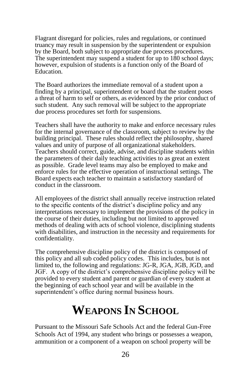Flagrant disregard for policies, rules and regulations, or continued truancy may result in suspension by the superintendent or expulsion by the Board, both subject to appropriate due process procedures. The superintendent may suspend a student for up to 180 school days; however, expulsion of students is a function only of the Board of Education.

The Board authorizes the immediate removal of a student upon a finding by a principal, superintendent or board that the student poses a threat of harm to self or others, as evidenced by the prior conduct of such student. Any such removal will be subject to the appropriate due process procedures set forth for suspensions.

Teachers shall have the authority to make and enforce necessary rules for the internal governance of the classroom, subject to review by the building principal. These rules should reflect the philosophy, shared values and unity of purpose of all organizational stakeholders. Teachers should correct, guide, advise, and discipline students within the parameters of their daily teaching activities to as great an extent as possible. Grade level teams may also be employed to make and enforce rules for the effective operation of instructional settings. The Board expects each teacher to maintain a satisfactory standard of conduct in the classroom.

All employees of the district shall annually receive instruction related to the specific contents of the district's discipline policy and any interpretations necessary to implement the provisions of the policy in the course of their duties, including but not limited to approved methods of dealing with acts of school violence, disciplining students with disabilities, and instruction in the necessity and requirements for confidentiality.

The comprehensive discipline policy of the district is composed of this policy and all sub coded policy codes. This includes, but is not limited to, the following and regulations: JG-R, JGA, JGB, JGD, and JGF. A copy of the district's comprehensive discipline policy will be provided to every student and parent or guardian of every student at the beginning of each school year and will be available in the superintendent's office during normal business hours.

## **WEAPONS IN SCHOOL**

Pursuant to the Missouri Safe Schools Act and the federal Gun-Free Schools Act of 1994, any student who brings or possesses a weapon, ammunition or a component of a weapon on school property will be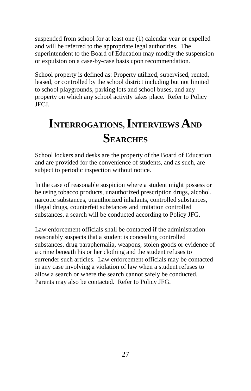suspended from school for at least one (1) calendar year or expelled and will be referred to the appropriate legal authorities. The superintendent to the Board of Education may modify the suspension or expulsion on a case-by-case basis upon recommendation.

School property is defined as: Property utilized, supervised, rented, leased, or controlled by the school district including but not limited to school playgrounds, parking lots and school buses, and any property on which any school activity takes place. Refer to Policy JFCJ.

## **INTERROGATIONS, INTERVIEWS AND SEARCHES**

School lockers and desks are the property of the Board of Education and are provided for the convenience of students, and as such, are subject to periodic inspection without notice.

In the case of reasonable suspicion where a student might possess or be using tobacco products, unauthorized prescription drugs, alcohol, narcotic substances, unauthorized inhalants, controlled substances, illegal drugs, counterfeit substances and imitation controlled substances, a search will be conducted according to Policy JFG.

Law enforcement officials shall be contacted if the administration reasonably suspects that a student is concealing controlled substances, drug paraphernalia, weapons, stolen goods or evidence of a crime beneath his or her clothing and the student refuses to surrender such articles. Law enforcement officials may be contacted in any case involving a violation of law when a student refuses to allow a search or where the search cannot safely be conducted. Parents may also be contacted. Refer to Policy JFG.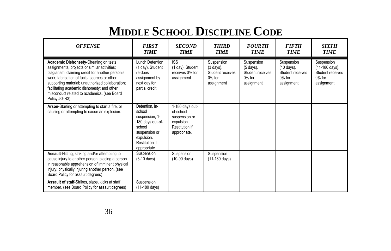# **MIDDLE SCHOOL DISCIPLINE CODE**

| <b>OFFENSE</b>                                                                                                                                                                                                                                                                                                                                               | <b>FIRST</b><br><b>TIME</b>                                                                                                               | <b>SECOND</b><br><b>TIME</b>                                                                  | <b>THIRD</b><br><b>TIME</b>                                                       | <b>FOURTH</b><br><b>TIME</b>                                                      | <b>FIFTH</b><br><b>TIME</b>                                             | <b>SIXTH</b><br><b>TIME</b>                                                 |
|--------------------------------------------------------------------------------------------------------------------------------------------------------------------------------------------------------------------------------------------------------------------------------------------------------------------------------------------------------------|-------------------------------------------------------------------------------------------------------------------------------------------|-----------------------------------------------------------------------------------------------|-----------------------------------------------------------------------------------|-----------------------------------------------------------------------------------|-------------------------------------------------------------------------|-----------------------------------------------------------------------------|
| Academic Dishonesty-Cheating on tests<br>assignments, projects or similar activities;<br>plagiarism; claiming credit for another person's<br>work; fabrication of facts, sources or other<br>supporting material; unauthorized collaboration;<br>facilitating academic dishonesty; and other<br>misconduct related to academics. (see Board<br>Policy JG-R3) | Lunch Detention<br>(1 day). Student<br>re-does<br>assignment by<br>next day for<br>partial credit                                         | <b>ISS</b><br>(1 day). Student<br>receives 0% for<br>assignment                               | Suspension<br>$(3 \text{ days})$ .<br>Student receives<br>$0\%$ for<br>assignment | Suspension<br>$(5 \text{ days})$ .<br>Student receives<br>$0\%$ for<br>assignment | Suspension<br>(10 days).<br>Student receives<br>$0\%$ for<br>assignment | Suspension<br>(11-180 days).<br>Student receives<br>$0\%$ for<br>assignment |
| Arson-Starting or attempting to start a fire, or<br>causing or attempting to cause an explosion.                                                                                                                                                                                                                                                             | Detention, in-<br>school<br>suspension, 1-<br>180 days out-of-<br>school<br>suspension or<br>expulsion.<br>Restitution if<br>appropriate. | 1-180 days out-<br>of-school<br>suspension or<br>expulsion.<br>Restitution if<br>appropriate. |                                                                                   |                                                                                   |                                                                         |                                                                             |
| Assault-Hitting, striking and/or attempting to<br>cause injury to another person; placing a person<br>in reasonable apprehension of imminent physical<br>injury; physically injuring another person. (see<br>Board Policy for assault degrees)                                                                                                               | Suspension<br>$(3-10 \text{ days})$                                                                                                       | Suspension<br>$(10-90 \text{ days})$                                                          | Suspension<br>$(11-180 \text{ days})$                                             |                                                                                   |                                                                         |                                                                             |
| Assault of staff-Strikes, slaps, kicks at staff<br>member. (see Board Policy for assault degrees)                                                                                                                                                                                                                                                            | Suspension<br>$(11-180 \text{ days})$                                                                                                     |                                                                                               |                                                                                   |                                                                                   |                                                                         |                                                                             |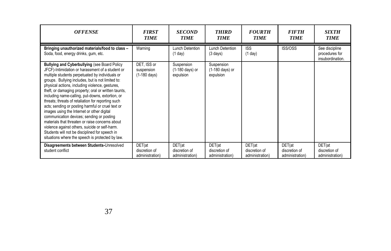| <b>OFFENSE</b>                                                                                                                                                                                                                                                                                                                                                                                                                                                                                                                                                                                                                                                                                                                                                                                  | <b>FIRST</b><br><b>TIME</b>                         | <b>SECOND</b><br><b>TIME</b>               | <b>THIRD</b><br><b>TIME</b>                | <b>FOURTH</b><br><b>TIME</b>               | <b>FIFTH</b><br><b>TIME</b>                | <b>SIXTH</b><br><b>TIME</b>                          |
|-------------------------------------------------------------------------------------------------------------------------------------------------------------------------------------------------------------------------------------------------------------------------------------------------------------------------------------------------------------------------------------------------------------------------------------------------------------------------------------------------------------------------------------------------------------------------------------------------------------------------------------------------------------------------------------------------------------------------------------------------------------------------------------------------|-----------------------------------------------------|--------------------------------------------|--------------------------------------------|--------------------------------------------|--------------------------------------------|------------------------------------------------------|
| Bringing unauthorized materials/food to class -<br>Soda, food, energy drinks, gum, etc.                                                                                                                                                                                                                                                                                                                                                                                                                                                                                                                                                                                                                                                                                                         | Warning                                             | Lunch Detention<br>(1 day)                 | Lunch Detention<br>$(3 \text{ days})$      | <b>ISS</b><br>(1 day)                      | ISS/OSS                                    | See discipline<br>procedures for<br>insubordination. |
| <b>Bullying and Cyberbullying (see Board Policy</b><br>JFCF)-Intimidation or harassment of a student or<br>multiple students perpetuated by individuals or<br>groups. Bullying includes, but is not limited to:<br>physical actions, including violence, gestures,<br>theft, or damaging property; oral or written taunts,<br>including name-calling, put-downs, extortion, or<br>threats; threats of retaliation for reporting such<br>acts; sending or posting harmful or cruel text or<br>images using the Internet or other digital<br>communication devices; sending or posting<br>materials that threaten or raise concerns about<br>violence against others, suicide or self-harm.<br>Students will not be disciplined for speech in<br>situations where the speech is protected by law. | DET. ISS or<br>suspension<br>$(1-180 \text{ days})$ | Suspension<br>(1-180 days) or<br>expulsion | Suspension<br>(1-180 days) or<br>expulsion |                                            |                                            |                                                      |
| Disagreements between Students-Unresolved<br>student conflict                                                                                                                                                                                                                                                                                                                                                                                                                                                                                                                                                                                                                                                                                                                                   | DET(at<br>discretion of<br>administration)          | DET(at<br>discretion of<br>administration) | DET(at<br>discretion of<br>administration) | DET(at<br>discretion of<br>administration) | DET(at<br>discretion of<br>administration) | DET(at<br>discretion of<br>administration)           |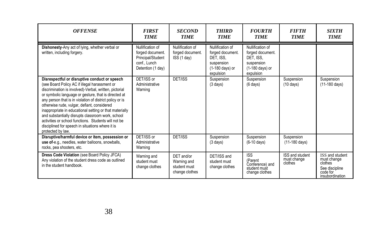| <b>OFFENSE</b>                                                                                                                                                                                                                                                                                                                                                                                                                                                                                                                                                               | <b>FIRST</b><br><b>TIME</b>                                                                    | <b>SECOND</b><br><b>TIME</b>                                | <b>THIRD</b><br><b>TIME</b>                                                                     | <b>FOURTH</b><br><b>TIME</b>                                                                    | <b>FIFTH</b><br><b>TIME</b>               | <b>SIXTH</b><br><b>TIME</b>                                                                |
|------------------------------------------------------------------------------------------------------------------------------------------------------------------------------------------------------------------------------------------------------------------------------------------------------------------------------------------------------------------------------------------------------------------------------------------------------------------------------------------------------------------------------------------------------------------------------|------------------------------------------------------------------------------------------------|-------------------------------------------------------------|-------------------------------------------------------------------------------------------------|-------------------------------------------------------------------------------------------------|-------------------------------------------|--------------------------------------------------------------------------------------------|
| Dishonesty-Any act of lying, whether verbal or<br>written, including forgery.                                                                                                                                                                                                                                                                                                                                                                                                                                                                                                | Nullification of<br>forged document.<br>Principal/Student<br>conf., Lunch<br>Detention (1 day) | Nullification of<br>forged document.<br>ISS (1 day)         | Nullification of<br>forged document.<br>DET, ISS.<br>suspension<br>(1-180 days) or<br>expulsion | Nullification of<br>forged document.<br>DET. ISS.<br>suspension<br>(1-180 days) or<br>expulsion |                                           |                                                                                            |
| Disrespectful or disruptive conduct or speech<br>(see Board Policy AC if illegal harassment or<br>discrimination is involved)-Verbal, written, pictorial<br>or symbolic language or gesture, that is directed at<br>any person that is in violation of district policy or is<br>otherwise rude, vulgar, defiant, considered<br>inappropriate in educational setting or that materially<br>and substantially disrupts classroom work, school<br>activities or school functions. Students will not be<br>disciplined for speech in situations where it is<br>protected by law. | DET/ISS or<br>Administrative<br>Warning                                                        | DET/ISS                                                     | Suspension<br>$(3 \text{ days})$                                                                | Suspension<br>$(6 \text{ days})$                                                                | Suspension<br>$(10 \text{ days})$         | Suspension<br>$(11-180 \text{ days})$                                                      |
| Disruptive/harmful device or item, possession or<br>use of-e.g., needles, water balloons, snowballs,<br>rocks, pea shooters, etc.                                                                                                                                                                                                                                                                                                                                                                                                                                            | DET/ISS or<br>Administrative<br>Warning                                                        | DET/ISS                                                     | Suspension<br>$(3$ days)                                                                        | Suspension<br>$(6-10 \text{ days})$                                                             | Suspension<br>$(11-180 \text{ days})$     |                                                                                            |
| Dress Code Violation (see Board Policy JFCA)<br>Any violation of the student dress code as outlined<br>in the student handbook.                                                                                                                                                                                                                                                                                                                                                                                                                                              | Warning and<br>student must<br>change clothes                                                  | DET and/or<br>Warning and<br>student must<br>change clothes | DET/ISS and<br>student must<br>change clothes                                                   | <b>ISS</b><br>(Parent<br>Conference) and<br>student must<br>change clothes                      | ISS and student<br>must change<br>clothes | ISS and student<br>must change<br>clothes<br>See discipline<br>code for<br>insubordination |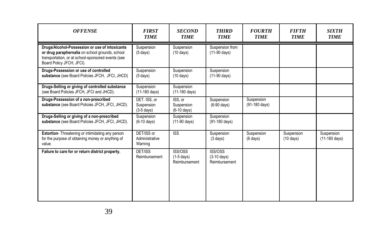| <b>OFFENSE</b>                                                                                                                                                                       | <b>FIRST</b><br><b>TIME</b>                | <b>SECOND</b><br><b>TIME</b>                    | <b>THIRD</b><br><b>TIME</b>                       | <b>FOURTH</b><br><b>TIME</b>     | <b>FIFTH</b><br><b>TIME</b>       | <b>SIXTH</b><br><b>TIME</b> |
|--------------------------------------------------------------------------------------------------------------------------------------------------------------------------------------|--------------------------------------------|-------------------------------------------------|---------------------------------------------------|----------------------------------|-----------------------------------|-----------------------------|
| Drugs/Alcohol-Possession or use of intoxicants<br>or drug paraphernalia on school grounds, school<br>transportation, or at school-sponsored events (see<br>Board Policy JFCH, JFCI). | Suspension<br>$(5$ days)                   | Suspension<br>$(10 \text{ days})$               | Suspension from<br>$(11-90 \text{ days})$         |                                  |                                   |                             |
| Drugs-Possession or use of controlled<br>substance (see Board Policies JFCH, JFCI, JHCD)                                                                                             | Suspension<br>$(5 \text{ days})$           | Suspension<br>$(10 \text{ days})$               | Suspension<br>$(11-90 \text{ days})$              |                                  |                                   |                             |
| Drugs-Selling or giving of controlled substance<br>(see Board Policies JFCH, JFCI and JHCD).                                                                                         | Suspension<br>$(11-180 \text{ days})$      | Suspension<br>(11-180 days)                     |                                                   |                                  |                                   |                             |
| Drugs-Possession of a non-prescribed<br>substance (see Board Policies JFCH, JFCI, JHCD).                                                                                             | DET. ISS, or<br>Suspension<br>$(3-5$ days) | ISS. or<br>Suspension<br>$(6-10 \text{ days})$  | Suspension<br>$(6-90 \text{ days})$               | Suspension<br>(91-180 days)      |                                   |                             |
| Drugs-Selling or giving of a non-prescribed<br>substance (see Board Policies JFCH, JFCI, JHCD).                                                                                      | Suspension<br>$(6-10$ days)                | Suspension<br>(11-90 days)                      | Suspension<br>$(91-180 \text{ days})$             |                                  |                                   |                             |
| Extortion-Threatening or intimidating any person<br>for the purpose of obtaining money or anything of<br>value.                                                                      | DET/ISS or<br>Administrative<br>Warning    | <b>ISS</b>                                      | Suspension<br>$(3 \text{ days})$                  | Suspension<br>$(6 \text{ days})$ | Suspension<br>$(10 \text{ days})$ | Suspension<br>(11-180 days) |
| Failure to care for or return district property.                                                                                                                                     | DET/ISS<br>Reimbursement                   | <b>ISS/OSS</b><br>$(1-5$ days)<br>Reimbursement | ISS/OSS<br>$(3-10 \text{ days})$<br>Reimbursement |                                  |                                   |                             |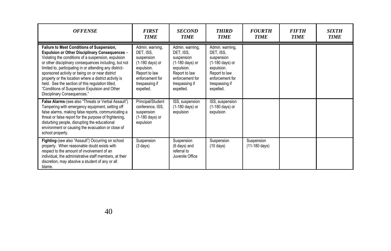| <b>OFFENSE</b>                                                                                                                                                                                                                                                                                                                                                                                                                                                                                                                       | <b>FIRST</b><br><b>TIME</b>                                                                                                                    | <b>SECOND</b><br><b>TIME</b>                                                                                                                             | <b>THIRD</b><br><b>TIME</b>                                                                                                                    | <b>FOURTH</b><br><b>TIME</b>          | <i><b>FIFTH</b></i><br><b>TIME</b> | <b>SIXTH</b><br><b>TIME</b> |
|--------------------------------------------------------------------------------------------------------------------------------------------------------------------------------------------------------------------------------------------------------------------------------------------------------------------------------------------------------------------------------------------------------------------------------------------------------------------------------------------------------------------------------------|------------------------------------------------------------------------------------------------------------------------------------------------|----------------------------------------------------------------------------------------------------------------------------------------------------------|------------------------------------------------------------------------------------------------------------------------------------------------|---------------------------------------|------------------------------------|-----------------------------|
| <b>Failure to Meet Conditions of Suspension,</b><br><b>Expulsion or Other Disciplinary Consequences -</b><br>Violating the conditions of a suspension, expulsion<br>or other disciplinary consequences including, but not<br>limited to, participating in or attending any district-<br>sponsored activity or being on or near district<br>property or the location where a district activity is<br>held. See the section of this regulation titled,<br>"Conditions of Suspension Expulsion and Other<br>Disciplinary Consequences." | Admin. warning,<br>DET. ISS.<br>suspension<br>(1-180 days) or<br>expulsion.<br>Report to law<br>enforcement for<br>trespassing if<br>expelled. | Admin. warning,<br>DET. ISS.<br>suspension<br>$(1-180 \text{ days})$ or<br>expulsion.<br>Report to law<br>enforcement for<br>trespassing if<br>expelled. | Admin. warning,<br>DET, ISS.<br>suspension<br>(1-180 days) or<br>expulsion.<br>Report to law<br>enforcement for<br>trespassing if<br>expelled. |                                       |                                    |                             |
| False Alarms-(see also "Threats or Verbal Assault")<br>Tampering with emergency equipment, setting off<br>false alarms, making false reports, communicating a<br>threat or false report for the purpose of frightening,<br>disturbing people, disrupting the educational<br>environment or causing the evacuation or close of<br>school property.                                                                                                                                                                                    | Principal/Student<br>conference, ISS,<br>suspension<br>(1-180 days) or<br>expulsion                                                            | ISS, suspension<br>$(1-180 \text{ days})$ or<br>expulsion                                                                                                | ISS, suspension<br>(1-180 days) or<br>expulsion                                                                                                |                                       |                                    |                             |
| Fighting-(see also "Assault") Occurring on school<br>property. When reasonable doubt exists with<br>respect to the amount of involvement of an<br>individual, the administrative staff members, at their<br>discretion, may absolve a student of any or all<br>blame.                                                                                                                                                                                                                                                                | Suspension<br>$(3 \text{ days})$                                                                                                               | Suspension<br>(6 days) and<br>referral to<br>Juvenile Office                                                                                             | Suspension<br>$(10 \text{ days})$                                                                                                              | Suspension<br>$(11-180 \text{ days})$ |                                    |                             |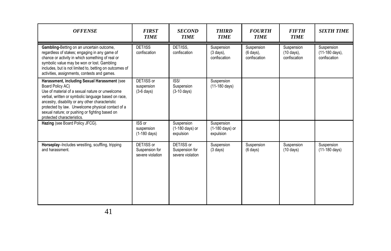| <b>OFFENSE</b>                                                                                                                                                                                                                                                                                                                                                      | <b>FIRST</b><br><b>TIME</b>                      | <b>SECOND</b><br><b>TIME</b>                     | <b>THIRD</b><br><b>TIME</b>                        | <b>FOURTH</b><br><b>TIME</b>            | <b>FIFTH</b><br><b>TIME</b>              | <b>SIXTH TIME</b>                            |
|---------------------------------------------------------------------------------------------------------------------------------------------------------------------------------------------------------------------------------------------------------------------------------------------------------------------------------------------------------------------|--------------------------------------------------|--------------------------------------------------|----------------------------------------------------|-----------------------------------------|------------------------------------------|----------------------------------------------|
| Gambling-Betting on an uncertain outcome,<br>regardless of stakes; engaging in any game of<br>chance or activity in which something of real or<br>symbolic value may be won or lost. Gambling<br>includes, but is not limited to, betting on outcomes of<br>activities, assignments, contests and games.                                                            | DET/ISS<br>confiscation                          | DET/ISS.<br>confiscation                         | Suspension<br>$(3 \text{ days})$ .<br>confiscation | Suspension<br>(6 days),<br>confiscation | Suspension<br>(10 days),<br>confiscation | Suspension<br>(11-180 days),<br>confiscation |
| Harassment, including Sexual Harassment (see<br>Board Policy AC)<br>Use of material of a sexual nature or unwelcome<br>verbal, written or symbolic language based on race,<br>ancestry, disability or any other characteristic<br>protected by law. Unwelcome physical contact of a<br>sexual nature; or pushing or fighting based on<br>protected characteristics. | DET/ISS or<br>suspension<br>$(3-6$ days)         | SS <br>Suspension<br>$(3-10$ days)               | Suspension<br>(11-180 days)                        |                                         |                                          |                                              |
| Hazing (see Board Policy JFCG).                                                                                                                                                                                                                                                                                                                                     | ISS or<br>suspension<br>$(1-180 \text{ days})$   | Suspension<br>(1-180 days) or<br>expulsion       | Suspension<br>(1-180 days) or<br>expulsion         |                                         |                                          |                                              |
| Horseplay-Includes wrestling, scuffling, tripping<br>and harassment.                                                                                                                                                                                                                                                                                                | DET/ISS or<br>Suspension for<br>severe violation | DET/ISS or<br>Suspension for<br>severe violation | Suspension<br>$(3$ days)                           | Suspension<br>$(6 \text{ days})$        | Suspension<br>$(10 \text{ days})$        | Suspension<br>$(11-180 \text{ days})$        |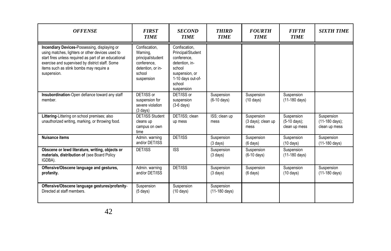| <b>OFFENSE</b>                                                                                                                                                                                                                                                         | <b>FIRST</b><br><b>TIME</b>                                                                                | <b>SECOND</b><br><b>TIME</b>                                                                                                                 | <b>THIRD</b><br><b>TIME</b>           | <b>FOURTH</b><br><b>TIME</b>             | <b>FIFTH</b><br><b>TIME</b>                            | <b>SIXTH TIME</b>                                        |
|------------------------------------------------------------------------------------------------------------------------------------------------------------------------------------------------------------------------------------------------------------------------|------------------------------------------------------------------------------------------------------------|----------------------------------------------------------------------------------------------------------------------------------------------|---------------------------------------|------------------------------------------|--------------------------------------------------------|----------------------------------------------------------|
| Incendiary Devices-Possessing, displaying or<br>using matches, lighters or other devices used to<br>start fires unless required as part of an educational<br>exercise and supervised by district staff. Some<br>items such as stink bombs may require a<br>suspension. | Confiscation.<br>Warning,<br>principal/student<br>conference.<br>detention, or in-<br>school<br>suspension | Confiscation.<br>Principal/Student<br>conference.<br>detention, in-<br>school<br>suspension, or<br>1-10 days out-of-<br>school<br>suspension |                                       |                                          |                                                        |                                                          |
| Insubordination-Open defiance toward any staff<br>member.                                                                                                                                                                                                              | DET/ISS or<br>suspension for<br>severe violation<br>$(3 \text{ days})$                                     | DET/ISS or<br>suspension<br>$(3-6$ days)                                                                                                     | Suspension<br>$(6-10 \text{ days})$   | Suspension<br>$(10 \text{ days})$        | Suspension<br>(11-180 days)                            |                                                          |
| Littering-Littering on school premises; also<br>unauthorized writing, marking, or throwing food.                                                                                                                                                                       | <b>DET/ISS Student</b><br>cleans up<br>campus on own<br>time                                               | DET/ISS: clean<br>up mess                                                                                                                    | ISS: clean up<br>mess                 | Suspension<br>(3 days); clean up<br>mess | Suspension<br>$(5-10 \text{ days})$ ;<br>clean up mess | Suspension<br>$(11-180 \text{ days})$ ;<br>clean up mess |
| Nuisance items                                                                                                                                                                                                                                                         | Admin. warning<br>and/or DET/ISS                                                                           | DET/ISS                                                                                                                                      | Suspension<br>$(3$ days)              | Suspension<br>$(6 \text{ days})$         | Suspension<br>$(10 \text{ days})$                      | Suspension<br>$(11-180 \text{ days})$                    |
| Obscene or lewd literature, writing, objects or<br>materials, distribution of (see Board Policy<br>IGDBA).                                                                                                                                                             | <b>DET/ISS</b>                                                                                             | <b>ISS</b>                                                                                                                                   | Suspension<br>$(3 \text{ days})$      | Suspension<br>$(6-10 \text{ days})$      | Suspension<br>(11-180 days)                            |                                                          |
| Offensive/Obscene language and gestures,<br>profanity.                                                                                                                                                                                                                 | Admin. warning<br>and/or DET/ISS                                                                           | DET/ISS                                                                                                                                      | Suspension<br>$(3$ days)              | Suspension<br>$(6 \text{ days})$         | Suspension<br>$(10 \text{ days})$                      | Suspension<br>(11-180 days)                              |
| Offensive/Obscene language gestures/profanity-<br>Directed at staff members.                                                                                                                                                                                           | Suspension<br>$(5 \text{ days})$                                                                           | Suspension<br>$(10 \text{ days})$                                                                                                            | Suspension<br>$(11-180 \text{ days})$ |                                          |                                                        |                                                          |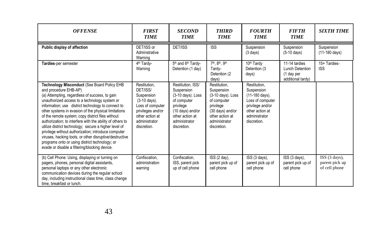| <b>OFFENSE</b>                                                                                                                                                                                                                                                                                                                                                                                                                                                                                                                                                                                                                                                                        | <b>FIRST</b><br><b>TIME</b>                                                                                                                        | <b>SECOND</b><br><b>TIME</b>                                                                                                                            | <b>THIRD</b><br><b>TIME</b>                                                                                                                        | <b>FOURTH</b><br><b>TIME</b>                                                                                                            | <b>FIFTH</b><br><b>TIME</b>                                         | <b>SIXTH TIME</b>                                |
|---------------------------------------------------------------------------------------------------------------------------------------------------------------------------------------------------------------------------------------------------------------------------------------------------------------------------------------------------------------------------------------------------------------------------------------------------------------------------------------------------------------------------------------------------------------------------------------------------------------------------------------------------------------------------------------|----------------------------------------------------------------------------------------------------------------------------------------------------|---------------------------------------------------------------------------------------------------------------------------------------------------------|----------------------------------------------------------------------------------------------------------------------------------------------------|-----------------------------------------------------------------------------------------------------------------------------------------|---------------------------------------------------------------------|--------------------------------------------------|
| Public display of affection                                                                                                                                                                                                                                                                                                                                                                                                                                                                                                                                                                                                                                                           | DET/ISS or<br>Adminstrative<br>Warning                                                                                                             | DET/ISS                                                                                                                                                 | <b>ISS</b>                                                                                                                                         | Suspension<br>$(3 \text{ days})$                                                                                                        | Suspension<br>$(5-10$ days)                                         | Suspension<br>$(11-180 \text{ days})$            |
| Tardies-per semester                                                                                                                                                                                                                                                                                                                                                                                                                                                                                                                                                                                                                                                                  | 4 <sup>th</sup> Tardy-<br>Warning                                                                                                                  | 5th and 6th Tardy-<br>Detention (1 day)                                                                                                                 | 7th, 8th, 9th<br>Tardy-<br>Detention (2)<br>days)                                                                                                  | 10 <sup>th</sup> Tardy<br>Detention (3)<br>days)                                                                                        | 11-14 tardies<br>Lunch Detention<br>(1 day per<br>additional tardy) | 15+ Tardies-<br><b>ISS</b>                       |
| Technology Misconduct (See Board Policy EHB<br>and procedure EHB-AP)<br>(a) Attempting, regardless of success, to gain<br>unauthorized access to a technology system or<br>information; use district technology to connect to<br>other systems in evasion of the physical limitations<br>of the remote system; copy district files without<br>authorization; to interfere with the ability of others to<br>utilize district technology; secure a higher level of<br>privilege without authorization; introduce computer<br>viruses, hacking tools, or other disruptive/destructive<br>programs onto or using district technology; or<br>evade or disable a filtering/blocking device. | Restitution.<br>DET/ISS/<br>Suspension<br>(3-10 days).<br>Loss of computer<br>privileges and/or<br>other action at<br>administrator<br>discretion. | Restitution, ISS/<br>Suspension<br>(3-10 days). Loss<br>of computer<br>privilege<br>(10 days) and/or<br>other action at<br>administrator<br>discretion. | Restitution.<br>Suspension<br>(3-10 days). Loss<br>of computer<br>privilege<br>(30 days) and/or<br>other action at<br>administrator<br>discretion. | Restitution,<br>Suspension<br>(11-180 days).<br>Loss of computer<br>privilege and/or<br>other action at<br>administrator<br>discretion. |                                                                     |                                                  |
| (b) Cell Phone: Using, displaying or turning on<br>pagers, phones, personal digital assistants,<br>personal laptops or any other electronic<br>communication devices during the regular school<br>day, including instructional class time, class change<br>time, breakfast or lunch.                                                                                                                                                                                                                                                                                                                                                                                                  | Confiscation,<br>administration<br>warning                                                                                                         | Confiscation,<br>ISS, parent pick<br>up of cell phone                                                                                                   | ISS (2 day),<br>parent pick up of<br>cell phone                                                                                                    | ISS (3 days),<br>parent pick up of<br>cell phone                                                                                        | ISS (3 days),<br>parent pick up of<br>cell phone                    | ISS (3 days),<br>parent pick up<br>of cell phone |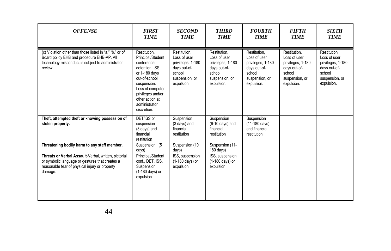| <b>OFFENSE</b>                                                                                                                                                         | <b>FIRST</b><br><b>TIME</b>                                                                                                                                                                                      | <b>SECOND</b><br><b>TIME</b>                                                                                | <b>THIRD</b><br><b>TIME</b>                                                                                 | <b>FOURTH</b><br><b>TIME</b>                                                                                | <b>FIFTH</b><br><b>TIME</b>                                                                                 | <b>SIXTH</b><br><b>TIME</b>                                                                                 |
|------------------------------------------------------------------------------------------------------------------------------------------------------------------------|------------------------------------------------------------------------------------------------------------------------------------------------------------------------------------------------------------------|-------------------------------------------------------------------------------------------------------------|-------------------------------------------------------------------------------------------------------------|-------------------------------------------------------------------------------------------------------------|-------------------------------------------------------------------------------------------------------------|-------------------------------------------------------------------------------------------------------------|
| (c) Violation other than those listed in "a." "b." or of<br>Board policy EHB and procedure EHB-AP. All<br>technology misconduct is subject to administrator<br>review. | Restitution.<br>Principal/Student<br>conference,<br>detention, ISS,<br>or 1-180 days<br>out-of-school<br>suspension.<br>Loss of computer<br>privileges and/or<br>other action at<br>administrator<br>discretion. | Restitution.<br>Loss of user<br>privileges, 1-180<br>days out-of-<br>school<br>suspension, or<br>expulsion. | Restitution.<br>Loss of user<br>privileges, 1-180<br>days out-of-<br>school<br>suspension, or<br>expulsion. | Restitution.<br>Loss of user<br>privileges, 1-180<br>days out-of-<br>school<br>suspension, or<br>expulsion. | Restitution.<br>Loss of user<br>privileges, 1-180<br>days out-of-<br>school<br>suspension, or<br>expulsion. | Restitution.<br>Loss of user<br>privileges, 1-180<br>days out-of-<br>school<br>suspension, or<br>expulsion. |
| Theft, attempted theft or knowing possession of<br>stolen property.                                                                                                    | DET/ISS or<br>suspension<br>(3 days) and<br>financial<br>restitution                                                                                                                                             | Suspension<br>(3 days) and<br>financial<br>restitution                                                      | Suspension<br>$(6-10 \text{ days})$ and<br>financial<br>restitution                                         | Suspension<br>$(11-180 \text{ days})$<br>and financial<br>restitution                                       |                                                                                                             |                                                                                                             |
| Threatening bodily harm to any staff member.                                                                                                                           | Suspension (5<br>days)                                                                                                                                                                                           | Suspension (10<br>days)                                                                                     | Suspension (11-<br>$180$ days)                                                                              |                                                                                                             |                                                                                                             |                                                                                                             |
| Threats or Verbal Assault-Verbal, written, pictorial<br>or symbolic language or gestures that creates a<br>reasonable fear of physical injury or property<br>damage.   | Principal/Student<br>conf., DET, ISS.<br>Suspension<br>(1-180 days) or<br>expulsion                                                                                                                              | ISS, suspension<br>(1-180 days) or<br>expulsion                                                             | ISS, suspension<br>(1-180 days) or<br>expulsion                                                             |                                                                                                             |                                                                                                             |                                                                                                             |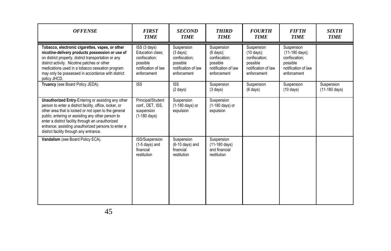| <b>OFFENSE</b>                                                                                                                                                                                                                                                                                                                                                                    | <b>FIRST</b><br><b>TIME</b>                                                                         | <b>SECOND</b><br><b>TIME</b>                                                                          | <b>THIRD</b><br><b>TIME</b>                                                                           | <b>FOURTH</b><br><b>TIME</b>                                                                           | <b>FIFTH</b><br><b>TIME</b>                                                                                | <b>SIXTH</b><br><b>TIME</b>           |
|-----------------------------------------------------------------------------------------------------------------------------------------------------------------------------------------------------------------------------------------------------------------------------------------------------------------------------------------------------------------------------------|-----------------------------------------------------------------------------------------------------|-------------------------------------------------------------------------------------------------------|-------------------------------------------------------------------------------------------------------|--------------------------------------------------------------------------------------------------------|------------------------------------------------------------------------------------------------------------|---------------------------------------|
| Tobacco, electronic cigarettes, vapes, or other<br>nicotine-delivery products possession or use of<br>on district property, district transportation or any<br>district activity. Nicotine patches or other<br>medications used in a tobacco cessation program<br>may only be possessed in accordance with district<br>policy JHCD.                                                | ISS (3 days)<br>Education class:<br>confiscation:<br>possible<br>notification of law<br>enforcement | Suspension<br>$(3 \text{ days})$ ;<br>confiscation:<br>possible<br>notification of law<br>enforcement | Suspension<br>$(6 \text{ days})$ ;<br>confiscation:<br>possible<br>notification of law<br>enforcement | Suspension<br>$(10 \text{ days})$ ;<br>confiscation:<br>possible<br>notification of law<br>enforcement | Suspension<br>$(11-180 \text{ days})$ ;<br>confiscation:<br>possible<br>notification of law<br>enforcement |                                       |
| Truancy (see Board Policy JEDA).                                                                                                                                                                                                                                                                                                                                                  | <b>ISS</b>                                                                                          | <b>ISS</b><br>$(2 \text{ days})$                                                                      | Suspension<br>$(3 \text{ days})$                                                                      | Suspension<br>$(6 \text{ days})$                                                                       | Suspension<br>$(10 \text{ days})$                                                                          | Suspension<br>$(11-180 \text{ days})$ |
| Unauthorized Entry-Entering or assisting any other<br>person to enter a district facility, office, locker, or<br>other area that is locked or not open to the general<br>public; entering or assisting any other person to<br>enter a district facility through an unauthorized<br>entrance; assisting unauthorized persons to enter a<br>district facility through any entrance. | Principal/Student<br>conf., DET, ISS,<br>suspension<br>$(1-180 \text{ days})$                       | Suspension<br>(1-180 days) or<br>expulsion                                                            | Suspension<br>(1-180 days) or<br>expulsion                                                            |                                                                                                        |                                                                                                            |                                       |
| Vandalism (see Board Policy ECA).                                                                                                                                                                                                                                                                                                                                                 | ISS/Suspension<br>$(1-5$ days) and<br>financial<br>restitution                                      | Suspension<br>$(6-10 \text{ days})$ and<br>financial<br>restitution                                   | Suspension<br>$(11-180 \text{ days})$<br>and financial<br>restitution                                 |                                                                                                        |                                                                                                            |                                       |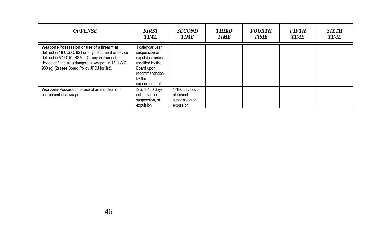| <b>OFFENSE</b>                                                                                                                                                                                                                                            | <b>FIRST</b><br><b>TIME</b>                                                                                                          | <b>SECOND</b><br><b>TIME</b>                               | <b>THIRD</b><br><b>TIME</b> | <b>FOURTH</b><br><b>TIME</b> | <i>FIFTH</i><br><b>TIME</b> | <b>SIXTH</b><br><b>TIME</b> |
|-----------------------------------------------------------------------------------------------------------------------------------------------------------------------------------------------------------------------------------------------------------|--------------------------------------------------------------------------------------------------------------------------------------|------------------------------------------------------------|-----------------------------|------------------------------|-----------------------------|-----------------------------|
| Weapons-Possession or use of a firearm as<br>defined in 18 U.S.C. 921 or any instrument or device<br>defined in 571.010, RSMo. Or any instrument or<br>device defined as a dangerous weapon in 18 U.S.C.<br>930 (q) (2) (see Board Policy JFCJ for list). | i calendar year<br>suspension or<br>expulsion, unless<br>modified by the<br>Board upon<br>recommendation<br>by the<br>superintendent |                                                            |                             |                              |                             |                             |
| Weapons-Possession or use of ammunition or a<br>component of a weapon.                                                                                                                                                                                    | ISS, 1-180 days<br>out-of-school<br>suspension, or<br>expulsion                                                                      | 1-180 days out-<br>of-school<br>suspension or<br>expulsion |                             |                              |                             |                             |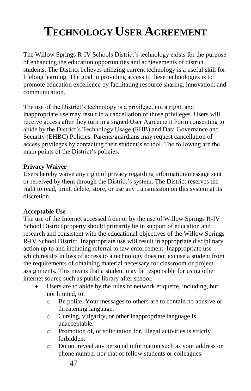# **TECHNOLOGY USER AGREEMENT**

The Willow Springs R-IV Schools District's technology exists for the purpose of enhancing the education opportunities and achievements of district students. The District believes utilizing current technology is a useful skill for lifelong learning. The goal in providing access to these technologies is to promote education excellence by facilitating resource sharing, innovation, and communication.

The use of the District's technology is a privilege, not a right, and inappropriate use may result in a cancellation of those privileges. Users will receive access after they turn in a signed User Agreement Form consenting to abide by the District's Technology Usage (EHB) and Data Governance and Security (EHBC) Policies. Parents/guardians may request cancellation of access privileges by contacting their student's school. The following are the main points of the District's policies.

#### **Privacy Waiver**

Users hereby waive any right of privacy regarding information/message sent or received by them through the District's system. The District reserves the right to read, print, delete, store, or use any transmission on this system at its discretion.

#### **Acceptable Use**

The use of the Internet accessed from or by the use of Willow Springs R-IV School District property should primarily be in support of education and research and consistent with the educational objectives of the Willow Springs R-IV School District. Inappropriate use will result in appropriate disciplinary action up to and including referral to law enforcement. Inappropriate use which results in loss of access to a technology does not excuse a student from the requirements of obtaining material necessary for classroom or project assignments. This means that a student may be responsible for using other internet source such as public library after school.

- Users are to abide by the rules of network etiquette, including, but not limited, to:
	- o Be polite. Your messages to others are to contain no abusive or threatening language.
	- o Cursing, vulgarity, or other inappropriate language is unacceptable.
	- o Promotion of, or solicitation for, illegal activities is strictly forbidden.
	- o Do not reveal any personal information such as your address or phone number nor that of fellow students or colleagues.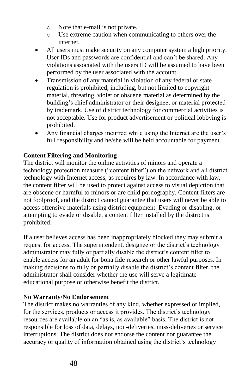- o Note that e-mail is not private.
- o Use extreme caution when communicating to others over the internet.
- All users must make security on any computer system a high priority. User IDs and passwords are confidential and can't be shared. Any violations associated with the users ID will be assumed to have been performed by the user associated with the account.
- Transmission of any material in violation of any federal or state regulation is prohibited, including, but not limited to copyright material, threating, violet or obscene material as determined by the building's chief administrator or their designee, or material protected by trademark. Use of district technology for commercial activities is not acceptable. Use for product advertisement or political lobbying is prohibited.
- Any financial charges incurred while using the Internet are the user's full responsibility and he/she will be held accountable for payment.

#### **Content Filtering and Monitoring**

The district will monitor the online activities of minors and operate a technology protection measure ("content filter") on the network and all district technology with Internet access, as requires by law. In accordance with law, the content filter will be used to protect against access to visual depiction that are obscene or harmful to minors or are child pornography. Content filters are not foolproof, and the district cannot guarantee that users will never be able to access offensive materials using district equipment. Evading or disabling, or attempting to evade or disable, a content filter installed by the district is prohibited.

If a user believes access has been inappropriately blocked they may submit a request for access. The superintendent, designee or the district's technology administrator may fully or partially disable the district's content filter to enable access for an adult for bona fide research or other lawful purposes. In making decisions to fully or partially disable the district's content filter, the administrator shall consider whether the use will serve a legitimate educational purpose or otherwise benefit the district.

#### **No Warranty/No Endorsement**

The district makes no warranties of any kind, whether expressed or implied, for the services, products or access it provides. The district's technology resources are available on an "as is, as available" basis. The district is not responsible for loss of data, delays, non-deliveries, miss-deliveries or service interruptions. The district does not endorse the content nor guarantee the accuracy or quality of information obtained using the district's technology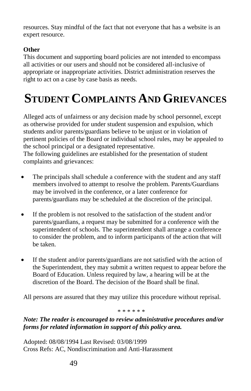resources. Stay mindful of the fact that not everyone that has a website is an expert resource.

#### **Other**

This document and supporting board policies are not intended to encompass all activities or our users and should not be considered all-inclusive of appropriate or inappropriate activities. District administration reserves the right to act on a case by case basis as needs.

# **STUDENT COMPLAINTS AND GRIEVANCES**

Alleged acts of unfairness or any decision made by school personnel, except as otherwise provided for under student suspension and expulsion, which students and/or parents/guardians believe to be unjust or in violation of pertinent policies of the Board or individual school rules, may be appealed to the school principal or a designated representative.

The following guidelines are established for the presentation of student complaints and grievances:

- The principals shall schedule a conference with the student and any staff members involved to attempt to resolve the problem. Parents/Guardians may be involved in the conference, or a later conference for parents/guardians may be scheduled at the discretion of the principal.
- If the problem is not resolved to the satisfaction of the student and/or parents/guardians, a request may be submitted for a conference with the superintendent of schools. The superintendent shall arrange a conference to consider the problem, and to inform participants of the action that will be taken.
- If the student and/or parents/guardians are not satisfied with the action of the Superintendent, they may submit a written request to appear before the Board of Education. Unless required by law, a hearing will be at the discretion of the Board. The decision of the Board shall be final.

All persons are assured that they may utilize this procedure without reprisal.

\* \* \* \* \* \*

#### *Note: The reader is encouraged to review administrative procedures and/or forms for related information in support of this policy area.*

Adopted: 08/08/1994 Last Revised: 03/08/1999 Cross Refs: AC, Nondiscrimination and Anti-Harassment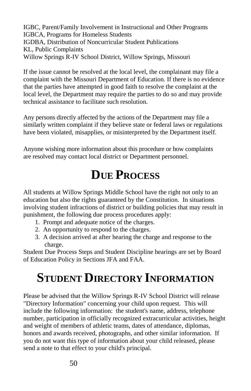IGBC, Parent/Family Involvement in Instructional and Other Programs IGBCA, Programs for Homeless Students IGDBA, Distribution of Noncurricular Student Publications KL, Public Complaints Willow Springs R-IV School District, Willow Springs, Missouri

If the issue cannot be resolved at the local level, the complainant may file a complaint with the Missouri Department of Education. If there is no evidence that the parties have attempted in good faith to resolve the complaint at the local level, the Department may require the parties to do so and may provide technical assistance to facilitate such resolution.

Any persons directly affected by the actions of the Department may file a similarly written complaint if they believe state or federal laws or regulations have been violated, misapplies, or misinterpreted by the Department itself.

Anyone wishing more information about this procedure or how complaints are resolved may contact local district or Department personnel.

## **DUE PROCESS**

All students at Willow Springs Middle School have the right not only to an education but also the rights guaranteed by the Constitution. In situations involving student infractions of district or building policies that may result in punishment, the following due process procedures apply:

- 1. Prompt and adequate notice of the charges.
- 2. An opportunity to respond to the charges.
- 3. A decision arrived at after hearing the charge and response to the charge.

Student Due Process Steps and Student Discipline hearings are set by Board of Education Policy in Sections JFA and FAA.

# **STUDENT DIRECTORY INFORMATION**

Please be advised that the Willow Springs R-IV School District will release "Directory Information" concerning your child upon request. This will include the following information: the student's name, address, telephone number, participation in officially recognized extracurricular activities, height and weight of members of athletic teams, dates of attendance, diplomas, honors and awards received, photographs, and other similar information. If you do not want this type of information about your child released, please send a note to that effect to your child's principal.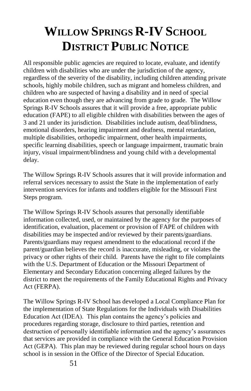# **WILLOW SPRINGS R-IV SCHOOL DISTRICT PUBLIC NOTICE**

All responsible public agencies are required to locate, evaluate, and identify children with disabilities who are under the jurisdiction of the agency, regardless of the severity of the disability, including children attending private schools, highly mobile children, such as migrant and homeless children, and children who are suspected of having a disability and in need of special education even though they are advancing from grade to grade. The Willow Springs R-IV Schools assures that it will provide a free, appropriate public education (FAPE) to all eligible children with disabilities between the ages of 3 and 21 under its jurisdiction. Disabilities include autism, deaf/blindness, emotional disorders, hearing impairment and deafness, mental retardation, multiple disabilities, orthopedic impairment, other health impairments, specific learning disabilities, speech or language impairment, traumatic brain injury, visual impairment/blindness and young child with a developmental delay.

The Willow Springs R-IV Schools assures that it will provide information and referral services necessary to assist the State in the implementation of early intervention services for infants and toddlers eligible for the Missouri First Steps program.

The Willow Springs R-IV Schools assures that personally identifiable information collected, used, or maintained by the agency for the purposes of identification, evaluation, placement or provision of FAPE of children with disabilities may be inspected and/or reviewed by their parents/guardians. Parents/guardians may request amendment to the educational record if the parent/guardian believes the record is inaccurate, misleading, or violates the privacy or other rights of their child. Parents have the right to file complaints with the U.S. Department of Education or the Missouri Department of Elementary and Secondary Education concerning alleged failures by the district to meet the requirements of the Family Educational Rights and Privacy Act (FERPA).

The Willow Springs R-IV School has developed a Local Compliance Plan for the implementation of State Regulations for the Individuals with Disabilities Education Act (IDEA). This plan contains the agency's policies and procedures regarding storage, disclosure to third parties, retention and destruction of personally identifiable information and the agency's assurances that services are provided in compliance with the General Education Provision Act (GEPA). This plan may be reviewed during regular school hours on days school is in session in the Office of the Director of Special Education.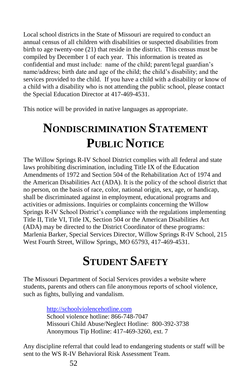Local school districts in the State of Missouri are required to conduct an annual census of all children with disabilities or suspected disabilities from birth to age twenty-one (21) that reside in the district. This census must be compiled by December 1 of each year. This information is treated as confidential and must include: name of the child; parent/legal guardian's name/address; birth date and age of the child; the child's disability; and the services provided to the child. If you have a child with a disability or know of a child with a disability who is not attending the public school, please contact the Special Education Director at 417-469-4531.

This notice will be provided in native languages as appropriate.

## **NONDISCRIMINATION STATEMENT PUBLIC NOTICE**

The Willow Springs R-IV School District complies with all federal and state laws prohibiting discrimination, including Title IX of the Education Amendments of 1972 and Section 504 of the Rehabilitation Act of 1974 and the American Disabilities Act (ADA). It is the policy of the school district that no person, on the basis of race, color, national origin, sex, age, or handicap, shall be discriminated against in employment, educational programs and activities or admissions. Inquiries or complaints concerning the Willow Springs R-IV School District's compliance with the regulations implementing Title II, Title VI, Title IX, Section 504 or the American Disabilities Act (ADA) may be directed to the District Coordinator of these programs: Marlenia Barker, Special Services Director, Willow Springs R-IV School, 215 West Fourth Street, Willow Springs, MO 65793, 417-469-4531.

## **STUDENT SAFETY**

The Missouri Department of Social Services provides a website where students, parents and others can file anonymous reports of school violence, such as fights, bullying and vandalism.

> [http://schoolviolencehotline.com](http://schoolviolencehotline.com/)  School violence hotline: 866-748-7047 Missouri Child Abuse/Neglect Hotline: 800-392-3738 Anonymous Tip Hotline: 417-469-3260, ext. 7

Any discipline referral that could lead to endangering students or staff will be sent to the WS R-IV Behavioral Risk Assessment Team.